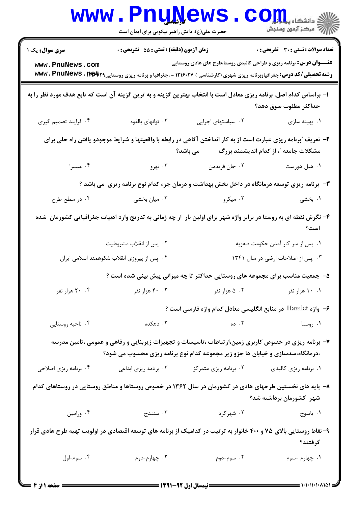|                                                                                                                                                                               | <b>www.PnuNews</b><br>حضرت علی(ع): دانش راهبر نیکویی برای ایمان است |                                                                                                                                                                                                                        | الاد دانشگاه پیاه <mark>تو</mark> ل<br>الا مرکز آزمون وسنجش |  |  |
|-------------------------------------------------------------------------------------------------------------------------------------------------------------------------------|---------------------------------------------------------------------|------------------------------------------------------------------------------------------------------------------------------------------------------------------------------------------------------------------------|-------------------------------------------------------------|--|--|
| <b>سری سوال :</b> یک ۱                                                                                                                                                        | زمان آزمون (دقیقه) : تستی : 55 آتشریحی : 0                          |                                                                                                                                                                                                                        | <b>تعداد سوالات : تستی : 30 ٪ تشریحی : 0</b>                |  |  |
| www.PnuNews.com                                                                                                                                                               |                                                                     | <b>عنـــوان درس:</b> برنامه ریزی و طراحی کالبدی روستا،طرح های هادی روستایی<br><b>رشته تحصیلی/کد درس:</b> جغرافیاوبرنامه ریزی شهری (کارشناسی ) ۱۲۱۶۰۲۷ - ،جغرافیا و برنامه ریزی روستایی۲ <b>۹\$wwv . PnuNews . I به</b> |                                                             |  |  |
| ا– براساس کدام اصل، برنامه ریزی معادل است با انتخاب بهترین گزینه و به ترین گزینه آن است که تابع هدف مورد نظر را به                                                            |                                                                     |                                                                                                                                                                                                                        | حداكثر مطلوب سوق دهد؟                                       |  |  |
| ۰۴ فرايند تصميم گيري                                                                                                                                                          | ۰۳ توانهای بالقوه                                                   | ٠٢ سياستهاى اجرايى                                                                                                                                                                                                     | ۰۱ بهينه سازى                                               |  |  |
| ۲- تعریف ″برنامه ریزی عبارت است از به کار انداختن آگاهی در رابطه با واقعیتها و شرایط موجودو یافتن راه حلی برای<br>مشکلات جامعه ؒ، از کدام اندیشمند بزرگ              می باشد؟ |                                                                     |                                                                                                                                                                                                                        |                                                             |  |  |
| ۰۴ میسرا                                                                                                                                                                      | ۰۳ نهرو                                                             | ۰۲ جان فريدمن                                                                                                                                                                                                          | ۰۱ هيل هورست                                                |  |  |
|                                                                                                                                                                               |                                                                     | ۳- برنامه ریزی توسعه درمانگاه در داخل بخش بهداشت و درمان جزء کدام نوع برنامه ریزی ًمی باشد ؟                                                                                                                           |                                                             |  |  |
| ۰۴ در سطح طرح                                                                                                                                                                 | ۰۳ میان بخشی                                                        | ۰۲ میکرو                                                                                                                                                                                                               | ۰۱ بخشی                                                     |  |  |
|                                                                                                                                                                               |                                                                     | ۴– نگرش نقطه ای به روستا در برابر واژه شهر برای اولین بار آز چه زمانی به تدریج وارد ادبیات جغرافیایی کشورمان شده                                                                                                       | است؟                                                        |  |  |
|                                                                                                                                                                               | ۰۲ پس از انقلاب مشروطيت                                             |                                                                                                                                                                                                                        | ۰۱ پس از سر کار آمدن حکومت صفویه                            |  |  |
|                                                                                                                                                                               | ۰۴ پس از پیروزی انقلاب شکوهمند اسلامی ایران                         |                                                                                                                                                                                                                        | ۰۳ پس از اصلاحات ارضی در سال ۱۳۴۱                           |  |  |
|                                                                                                                                                                               |                                                                     | ۵- جمعیت مناسب برای مجموعه های روستایی حداکثر تا چه میزانی پیش بینی شده است ؟                                                                                                                                          |                                                             |  |  |
| ۲۰ ۲۰ هزار نفر                                                                                                                                                                |                                                                     | ۰۱ مزار نفر سال ۲۰۰۲ هزار نفر است. ۴۰۰ هزار نفر                                                                                                                                                                        |                                                             |  |  |
|                                                                                                                                                                               |                                                                     | ۶– واژه Hamlet در منابع انگلیسی معادل کدام واژه فارسی است ؟                                                                                                                                                            |                                                             |  |  |
| ۰۴ ناحیه روستایی                                                                                                                                                              | ۰۳ دهکده                                                            | ۰۱ روستا ده ۲۰۰ ده                                                                                                                                                                                                     |                                                             |  |  |
|                                                                                                                                                                               |                                                                     | ۷– برنامه ریزی در خصوص کاربری زمین،ارتباطات ،تاسیسات و تجهیزات زیربنایی و رفاهی و عمومی ،تامین مدرسه<br>،درمانگاه،سدسازی و خیابان ها جزو زیر مجموعه کدام نوع برنامه ریزی محسوب می شود؟                                 |                                                             |  |  |
| ۰۴ برنامه ریزی اصلاحی                                                                                                                                                         | ۰۳ برنامه ریزی ابداعی                                               | ۰۲ برنامه ریزی متمرکز                                                                                                                                                                                                  | ۰۱ برنامه ریزی کالبدی                                       |  |  |
|                                                                                                                                                                               |                                                                     | ۸– پایه های نخستین طرحهای هادی در کشورمان در سال ۱۳۶۲ در خصوص روستاها و مناطق روستایی در روستاهای کدام                                                                                                                 | شهر کشورمان برداشته شد؟                                     |  |  |
| ۰۴ ورامين                                                                                                                                                                     | اسنندج $\cdot$ ۳ $\cdot$                                            |                                                                                                                                                                                                                        | ۰۱ ياسوج مستخدم استهرکرد .                                  |  |  |
| ۹- نقاط روستایی بالای ۷۵ و ۴۰۰ خانوار به ترتیب در کدامیک از برنامه های توسعه اقتصادی در اولویت تهیه طرح هادی قرار<br>گرفتند؟                                                  |                                                                     |                                                                                                                                                                                                                        |                                                             |  |  |
| ۰۴ سوم-اول                                                                                                                                                                    | ۰۳ چهارم-دوم                                                        | ۰۲ سوم-دوم                                                                                                                                                                                                             | ۰۱ چهارم -سوم                                               |  |  |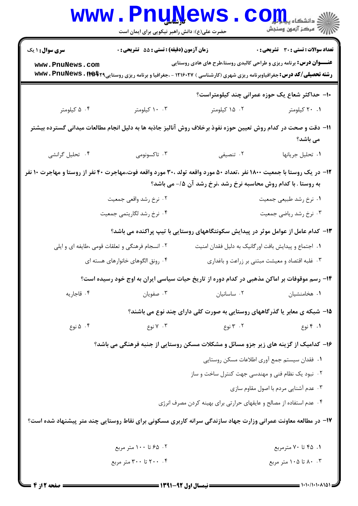| <b>WWW</b>                                                                                                                                                                                       | حضرت علی(ع): دانش راهبر نیکویی برای ایمان است   |                                                                                                                                         | رد دانشڪاه پ <b>يا ۾ <mark>م</mark>ي</b><br>ا <mark>ر</mark> ≫ مرڪز آزمون وسنڊش |  |
|--------------------------------------------------------------------------------------------------------------------------------------------------------------------------------------------------|-------------------------------------------------|-----------------------------------------------------------------------------------------------------------------------------------------|---------------------------------------------------------------------------------|--|
| <b>سری سوال : ۱ یک</b><br>www.PnuNews.com                                                                                                                                                        | زمان آزمون (دقیقه) : تستی : 55 تشریحی : 0       | <b>عنـــوان درس:</b> برنامه ریزی و طراحی کالبدی روستا،طرح های هادی روستایی                                                              | <b>تعداد سوالات : تستی : 30 ٪ تشریحی : 0</b>                                    |  |
|                                                                                                                                                                                                  |                                                 | <b>رشته تحصیلی/کد درس:</b> جغرافیاوبرنامه ریزی شهری (کارشناسی ) ۱۲۱۶۰۲۷ - ،جغرافیا و برنامه ریزی روستایی۲۴ <b>۶۴۲۹ تا www . PnuNews</b> |                                                                                 |  |
|                                                                                                                                                                                                  |                                                 | ۱۰– حداکثر شعاع یک حوزه عمرانی چند کیلومتراست؟                                                                                          |                                                                                 |  |
| ۰۴ کیلومتر                                                                                                                                                                                       | ۰۰ ۲ کیلومتر                                    | ۰۲ کیلومتر                                                                                                                              | ۰۱ ۲۰ کیلومتر                                                                   |  |
| 1۱– دقت و صحت در کدام روش تعیین حوزه نفوذ برخلاف روش آنالیز جاذبه ها به دلیل انجام مطالعات میدانی گسترده بیشتر<br>می باشد؟                                                                       |                                                 |                                                                                                                                         |                                                                                 |  |
| ۰۴ تحلیل گرانشی                                                                                                                                                                                  | ۰۳ تاکسونومی                                    | ۰۲ تنصیفی                                                                                                                               | ٠١ تحليل جريانها                                                                |  |
| <b>۱۲</b> - در یک روستا با جمعیت ۱۸۰۰ نفر ،تعداد ۵۰ مورد واقعه تولد ،۳۰ مورد واقعه فوت،مهاجرت ۴۰ نفر از روستا و مهاجرت ۱۰ نفر<br>به روستا . با کدام روش محاسبه نرخ رشد ،نرخ رشد آن ۱۵/- می باشد؟ |                                                 |                                                                                                                                         |                                                                                 |  |
|                                                                                                                                                                                                  | ۰۲ نرخ رشد واقعي جمعيت                          |                                                                                                                                         | ١. نرخ رشد طبيعي جمعيت                                                          |  |
|                                                                                                                                                                                                  | ۰۴ نرخ رشد لگاریتمی جمعیت                       |                                                                                                                                         | ۰۳ نرخ رشد ریاضی جمعیت                                                          |  |
|                                                                                                                                                                                                  |                                                 | ۱۳- کدام عامل از عوامل موثر در پیدایش سکونتگاههای روستایی با تیپ پراکنده می باشد؟                                                       |                                                                                 |  |
|                                                                                                                                                                                                  | ۰۲ انسجام فرهنگی و تعلقات قومی ،طایفه ای و ایلی | ٠١ اجتماع و پيدايش بافت اورگانيک به دليل فقدان امنيت                                                                                    |                                                                                 |  |
|                                                                                                                                                                                                  | ۰۴ رونق الگوهای خانوارهای هسته ای               | ۰۳ غلبه اقتصاد و معیشت مبتنی بر زراعت و باغداری                                                                                         |                                                                                 |  |
| ۱۴– رسم موقوفات بر اماکن مذهبی در کدام دوره از تاریخ حیات سیاسی ایران به اوج خود رسیده است؟                                                                                                      |                                                 |                                                                                                                                         |                                                                                 |  |
| ۰۴ قاجاريه                                                                                                                                                                                       | ۰۳ صفويان                                       | ٠٢ ساسانيان                                                                                                                             | ٠١ هخامنشيان                                                                    |  |
|                                                                                                                                                                                                  |                                                 | ۱۵- شبکه ی معابر یا گذرگاههای روستایی به صورت کلی دارای چند نوع می باشند؟                                                               |                                                                                 |  |
| ۰۴ ۵ نوع                                                                                                                                                                                         | ۰۳ ۷ نوع                                        | ۰۲ توع                                                                                                                                  | ۰۱ ۴ نوع                                                                        |  |
|                                                                                                                                                                                                  |                                                 | ۱۶- کدامیک از گزینه های زیر جزو مسائل و مشکلات مسکن روستایی از جنبه فرهنگی می باشد؟                                                     |                                                                                 |  |
|                                                                                                                                                                                                  |                                                 | ٠١ فقدان سيستم جمع آوري اطلاعات مسكن روستايي                                                                                            |                                                                                 |  |
|                                                                                                                                                                                                  |                                                 | ۰۲ نبود یک نظام فنی و مهندسی جهت کنترل ساخت و ساز                                                                                       |                                                                                 |  |
|                                                                                                                                                                                                  |                                                 |                                                                                                                                         | ۰۳ عدم آشنایی مردم با اصول مقاوم سازی                                           |  |
| ۰۴ عدم استفاده از مصالح و عایقهای حرارتی برای بهینه کردن مصرف انرژی                                                                                                                              |                                                 |                                                                                                                                         |                                                                                 |  |
| ۱۷- در مطالعه معاونت عمرانی وزارت جهاد سازندگی سرانه کاربری مسکونی برای نقاط روستایی چند متر پیشنهاد شده است؟                                                                                    |                                                 |                                                                                                                                         |                                                                                 |  |
|                                                                                                                                                                                                  | ۰۲ ۵٪ تا ۱۰۰ متر مربع                           |                                                                                                                                         | ۰۱ ۴۵ تا ۷۰ مترمربع                                                             |  |
|                                                                                                                                                                                                  | ۰۴ تا ۳۰۰ متر مربع                              |                                                                                                                                         | ۰.۳ تا ۱۰۵ متر مربع                                                             |  |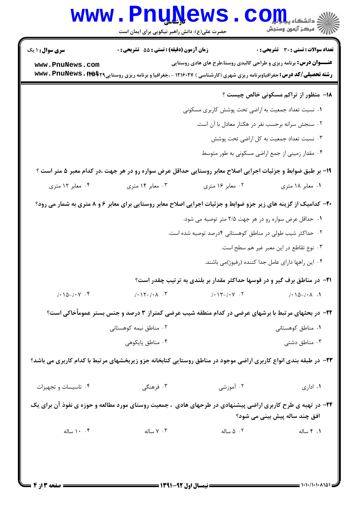|                          | www.PnuNews<br>حضرت علی(ع): دانش راهبر نیکویی برای ایمان است                                                                                    |                                                           | ان دانشڪاه پي <mark>ا ۾ آج</mark> و<br>ا∜ مرڪز آزمهن وسنڊش                       |  |  |
|--------------------------|-------------------------------------------------------------------------------------------------------------------------------------------------|-----------------------------------------------------------|----------------------------------------------------------------------------------|--|--|
| <b>سری سوال : ۱ یک</b>   | زمان آزمون (دقیقه) : تستی : 55 گشریحی : 0                                                                                                       |                                                           | <b>تعداد سوالات : تستی : 30 ٪ تشریحی : 0</b>                                     |  |  |
| www.PnuNews.com          | <b>رشته تحصیلی/کد درس:</b> جغرافیاوبرنامه ریزی شهری (کارشناسی ) ۱۲۱۶۰۲۷ - ،جغرافیا و برنامه ریزی روستایی۲۴ <b>۶۴۲۹ ته www . PnuNews . It له</b> |                                                           | <b>عنـــوان درس:</b> برنامه ریزی و طراحی کالبدی روستا،طرح های هادی روستایی       |  |  |
|                          |                                                                                                                                                 |                                                           | <b>۱۸</b> - منظور از تراکم مسکونی خالص چیست ؟                                    |  |  |
|                          |                                                                                                                                                 | ۰۱ نسبت تعداد جمعیت به اراضی تحت پوشش کاربری مسکونی       |                                                                                  |  |  |
|                          | ۰۲ سنجش سرانه برحسب نفر در هکتار معادل با آن است.                                                                                               |                                                           |                                                                                  |  |  |
|                          |                                                                                                                                                 |                                                           | ۰۳ نسبت تعداد جمعیت به کل اراضی تحت پوشش                                         |  |  |
|                          |                                                                                                                                                 |                                                           | ۰۴ مقدار زمینی از جمع اراضی مسکونی به طور متوسط                                  |  |  |
|                          | ۱۹- بر طبق ضوابط و جزئیات اجرایی اصلاح معابر روستایی حداقل عرض سواره رو در هر جهت ،در کدام معبر ۵ متر است ؟                                     |                                                           |                                                                                  |  |  |
| ۰۴ معابر ۱۲ متری         | ۰۳ معابر ۱۴ متری                                                                                                                                | ۰۲ معابر ۱۶ متری                                          | ۱. معابر ۱۸ متری                                                                 |  |  |
|                          | ۲۰- کدامیک از گزینه های زیر جزو ضوابط و جزئیات اجرایی اصلاح معابر روستایی برای معابر ۶ و ۸ متری به شمار می رود؟                                 |                                                           |                                                                                  |  |  |
|                          | ۰۱ حداقل عرض سواره رو در هر جهت ۲/۵ متر توصیه می شود.                                                                                           |                                                           |                                                                                  |  |  |
|                          |                                                                                                                                                 | ۰۲ حداکثر شیب طولی در مناطق کوهستانی ۴درصد توصیه شده است. |                                                                                  |  |  |
|                          |                                                                                                                                                 |                                                           | ۰۳ نوع تقاطع در این معبر غیر هم سطح است.                                         |  |  |
|                          |                                                                                                                                                 |                                                           | ۰۴ این راهها دارای عامل جدا کننده (رفیوژ)می باشند.                               |  |  |
|                          |                                                                                                                                                 |                                                           | <b>۲۱</b> - در مناطق برف گیر و در قوسها حداکثر مقدار بر بلندی به ترتیب چقدر است؟ |  |  |
| $1-\lambda_0-1-\gamma$ . | $/ \cdot 17 - / \cdot \Lambda$ . $\Upsilon$                                                                                                     | $/ \cdot 17 - / \cdot 17$                                 | $1-\lambda_0-\lambda_1$ .                                                        |  |  |
|                          | ۲۲- در بحثهای مرتبط با برشهای عرضی در کدام منطقه شیب عرضی کمتراز ۳ درصد و جنس بستر عمومأخاکی است؟                                               |                                                           |                                                                                  |  |  |
|                          | ۰۲ مناطق نیمه کوهستانی                                                                                                                          |                                                           | ۰۱ مناطق کوهستانی                                                                |  |  |
|                          | ۰۴ مناطق پایکوهی                                                                                                                                |                                                           | ۰۳ مناطق دشتی                                                                    |  |  |
|                          | ۲۳- در طبقه بندی انواع کاربری اراضی موجود در مناطق روستایی کتابخانه جزو زیربخشهای مرتبط با کدام کاربری می باشد؟                                 |                                                           |                                                                                  |  |  |
| ۰۴ تاسیسات و تجهیزات     | ۰۳ فرهنگی                                                                                                                                       | ۰۲ آموزشی                                                 | ٠١ ادارى                                                                         |  |  |
|                          | ۲۴- در تهیه ی طرح کاربری اراضی پیشنهادی در طرحهای هادی ، جمعیت روستای مورد مطالعه و حوزه ی نفوذ آن برای یک                                      |                                                           | افق چند ساله پیش بینی می شود؟                                                    |  |  |
| ۰. ۱۰ ساله               | ۰۳ ساله                                                                                                                                         | ۰۲ ۵ ساله                                                 | ۰۱ ۴ ساله                                                                        |  |  |
|                          |                                                                                                                                                 |                                                           |                                                                                  |  |  |